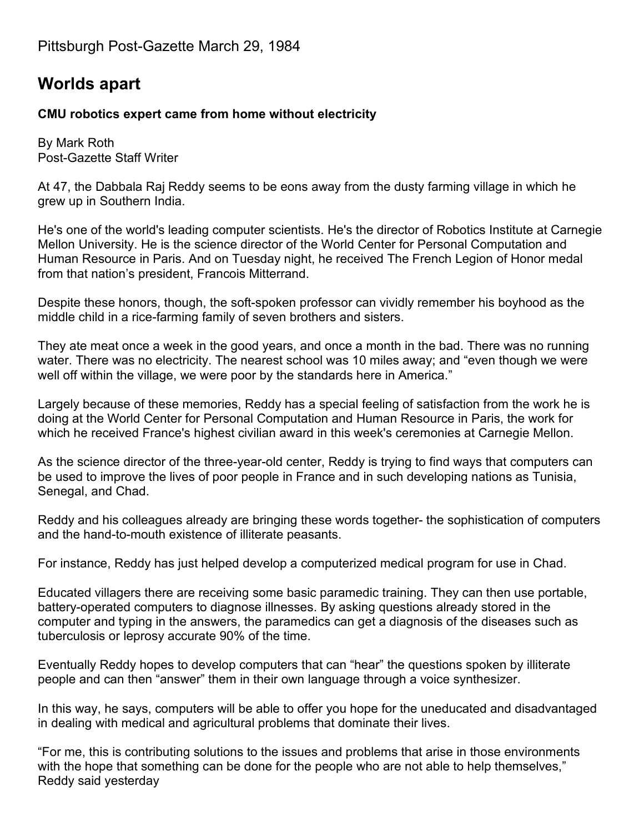## **Worlds apart**

## **CMU robotics expert came from home without electricity**

By Mark Roth Post-Gazette Staff Writer

At 47, the Dabbala Raj Reddy seems to be eons away from the dusty farming village in which he grew up in Southern India.

He's one of the world's leading computer scientists. He's the director of Robotics Institute at Carnegie Mellon University. He is the science director of the World Center for Personal Computation and Human Resource in Paris. And on Tuesday night, he received The French Legion of Honor medal from that nation's president, Francois Mitterrand.

Despite these honors, though, the soft-spoken professor can vividly remember his boyhood as the middle child in a rice-farming family of seven brothers and sisters.

They ate meat once a week in the good years, and once a month in the bad. There was no running water. There was no electricity. The nearest school was 10 miles away; and "even though we were well off within the village, we were poor by the standards here in America."

Largely because of these memories, Reddy has a special feeling of satisfaction from the work he is doing at the World Center for Personal Computation and Human Resource in Paris, the work for which he received France's highest civilian award in this week's ceremonies at Carnegie Mellon.

As the science director of the three-year-old center, Reddy is trying to find ways that computers can be used to improve the lives of poor people in France and in such developing nations as Tunisia, Senegal, and Chad.

Reddy and his colleagues already are bringing these words together- the sophistication of computers and the hand-to-mouth existence of illiterate peasants.

For instance, Reddy has just helped develop a computerized medical program for use in Chad.

Educated villagers there are receiving some basic paramedic training. They can then use portable, battery-operated computers to diagnose illnesses. By asking questions already stored in the computer and typing in the answers, the paramedics can get a diagnosis of the diseases such as tuberculosis or leprosy accurate 90% of the time.

Eventually Reddy hopes to develop computers that can "hear" the questions spoken by illiterate people and can then "answer" them in their own language through a voice synthesizer.

In this way, he says, computers will be able to offer you hope for the uneducated and disadvantaged in dealing with medical and agricultural problems that dominate their lives.

"For me, this is contributing solutions to the issues and problems that arise in those environments with the hope that something can be done for the people who are not able to help themselves," Reddy said yesterday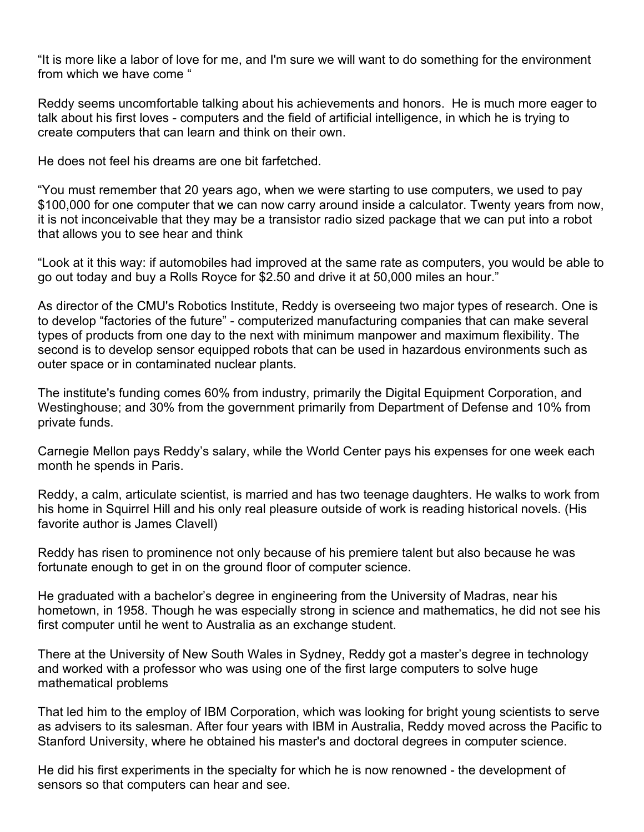"It is more like a labor of love for me, and I'm sure we will want to do something for the environment from which we have come "

Reddy seems uncomfortable talking about his achievements and honors. He is much more eager to talk about his first loves - computers and the field of artificial intelligence, in which he is trying to create computers that can learn and think on their own.

He does not feel his dreams are one bit farfetched.

"You must remember that 20 years ago, when we were starting to use computers, we used to pay \$100,000 for one computer that we can now carry around inside a calculator. Twenty years from now, it is not inconceivable that they may be a transistor radio sized package that we can put into a robot that allows you to see hear and think

"Look at it this way: if automobiles had improved at the same rate as computers, you would be able to go out today and buy a Rolls Royce for \$2.50 and drive it at 50,000 miles an hour."

As director of the CMU's Robotics Institute, Reddy is overseeing two major types of research. One is to develop "factories of the future" - computerized manufacturing companies that can make several types of products from one day to the next with minimum manpower and maximum flexibility. The second is to develop sensor equipped robots that can be used in hazardous environments such as outer space or in contaminated nuclear plants.

The institute's funding comes 60% from industry, primarily the Digital Equipment Corporation, and Westinghouse; and 30% from the government primarily from Department of Defense and 10% from private funds.

Carnegie Mellon pays Reddy's salary, while the World Center pays his expenses for one week each month he spends in Paris.

Reddy, a calm, articulate scientist, is married and has two teenage daughters. He walks to work from his home in Squirrel Hill and his only real pleasure outside of work is reading historical novels. (His favorite author is James Clavell)

Reddy has risen to prominence not only because of his premiere talent but also because he was fortunate enough to get in on the ground floor of computer science.

He graduated with a bachelor's degree in engineering from the University of Madras, near his hometown, in 1958. Though he was especially strong in science and mathematics, he did not see his first computer until he went to Australia as an exchange student.

There at the University of New South Wales in Sydney, Reddy got a master's degree in technology and worked with a professor who was using one of the first large computers to solve huge mathematical problems

That led him to the employ of IBM Corporation, which was looking for bright young scientists to serve as advisers to its salesman. After four years with IBM in Australia, Reddy moved across the Pacific to Stanford University, where he obtained his master's and doctoral degrees in computer science.

He did his first experiments in the specialty for which he is now renowned - the development of sensors so that computers can hear and see.